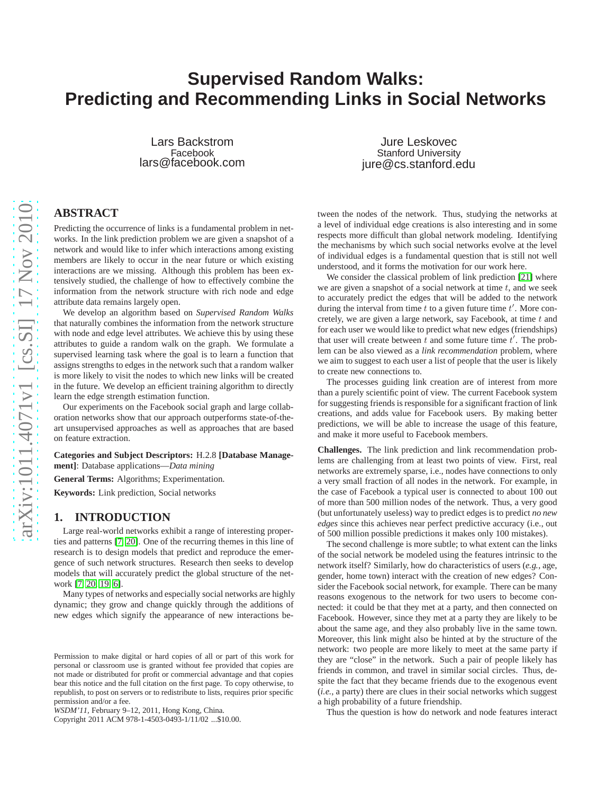# **Supervised Random Walks: Predicting and Recommending Links in Social Networks**

Lars Backstrom Facebook lars@facebook.com

Jure Leskovec Stanford University jure@cs.stanford.edu

# **ABSTRACT**

Predicting the occurrence of links is a fundamental problem in networks. In the link prediction problem we are given a snapshot of a network and would like to infer which interactions among existing members are likely to occur in the near future or which existing interactions are we missing. Although this problem has been extensively studied, the challenge of how to effectively combine the information from the network structure with rich node and edge attribute data remains largely open.

We develop an algorithm based on *Supervised Random Walks* that naturally combines the information from the network structure with node and edge level attributes. We achieve this by using these attributes to guide a random walk on the graph. We formulate a supervised learning task where the goal is to learn a function that assigns strengths to edges in the network such that a random walker is more likely to visit the nodes to which new links will be created in the future. We develop an efficient training algorithm to directly learn the edge strength estimation function.

Our experiments on the Facebook social graph and large collaboration networks show that our approach outperforms state-of-theart unsupervised approaches as well as approaches that are based on feature extraction.

**Categories and Subject Descriptors:** H.2.8 **[Database Management]**: Database applications—*Data mining*

**General Terms:** Algorithms; Experimentation.

**Keywords:** Link prediction, Social networks

## **1. INTRODUCTION**

Large real-world networks exhibit a range of interesting properties and patterns [\[7,](#page-9-0) [20\]](#page-9-1). One of the recurring themes in this line of research is to design models that predict and reproduce the emergence of such network structures. Research then seeks to develop models that will accurately predict the global structure of the network [\[7,](#page-9-0) [20,](#page-9-1) [19,](#page-9-2) [6\]](#page-9-3).

Many types of networks and especially social networks are highly dynamic; they grow and change quickly through the additions of new edges which signify the appearance of new interactions be-

Copyright 2011 ACM 978-1-4503-0493-1/11/02 ...\$10.00.

tween the nodes of the network. Thus, studying the networks at a level of individual edge creations is also interesting and in some respects more difficult than global network modeling. Identifying the mechanisms by which such social networks evolve at the level of individual edges is a fundamental question that is still not well understood, and it forms the motivation for our work here.

We consider the classical problem of link prediction [\[21\]](#page-9-4) where we are given a snapshot of a social network at time  $t$ , and we seek to accurately predict the edges that will be added to the network during the interval from time  $t$  to a given future time  $t'$ . More concretely, we are given a large network, say Facebook, at time  $t$  and for each user we would like to predict what new edges (friendships) that user will create between  $t$  and some future time  $t'$ . The problem can be also viewed as a *link recommendation* problem, where we aim to suggest to each user a list of people that the user is likely to create new connections to.

The processes guiding link creation are of interest from more than a purely scientific point of view. The current Facebook system for suggesting friends is responsible for a significant fraction of link creations, and adds value for Facebook users. By making better predictions, we will be able to increase the usage of this feature, and make it more useful to Facebook members.

**Challenges.** The link prediction and link recommendation problems are challenging from at least two points of view. First, real networks are extremely sparse, i.e., nodes have connections to only a very small fraction of all nodes in the network. For example, in the case of Facebook a typical user is connected to about 100 out of more than 500 million nodes of the network. Thus, a very good (but unfortunately useless) way to predict edges is to predict *no new edges* since this achieves near perfect predictive accuracy (i.e., out of 500 million possible predictions it makes only 100 mistakes).

The second challenge is more subtle; to what extent can the links of the social network be modeled using the features intrinsic to the network itself? Similarly, how do characteristics of users (*e.g.*, age, gender, home town) interact with the creation of new edges? Consider the Facebook social network, for example. There can be many reasons exogenous to the network for two users to become connected: it could be that they met at a party, and then connected on Facebook. However, since they met at a party they are likely to be about the same age, and they also probably live in the same town. Moreover, this link might also be hinted at by the structure of the network: two people are more likely to meet at the same party if they are "close" in the network. Such a pair of people likely has friends in common, and travel in similar social circles. Thus, despite the fact that they became friends due to the exogenous event (*i.e.*, a party) there are clues in their social networks which suggest a high probability of a future friendship.

Thus the question is how do network and node features interact

Permission to make digital or hard copies of all or part of this work for personal or classroom use is granted without fee provided that copies are not made or distributed for profit or commercial advantage and that copies bear this notice and the full citation on the first page. To copy otherwise, to republish, to post on servers or to redistribute to lists, requires prior specific permission and/or a fee.

*WSDM'11,* February 9–12, 2011, Hong Kong, China.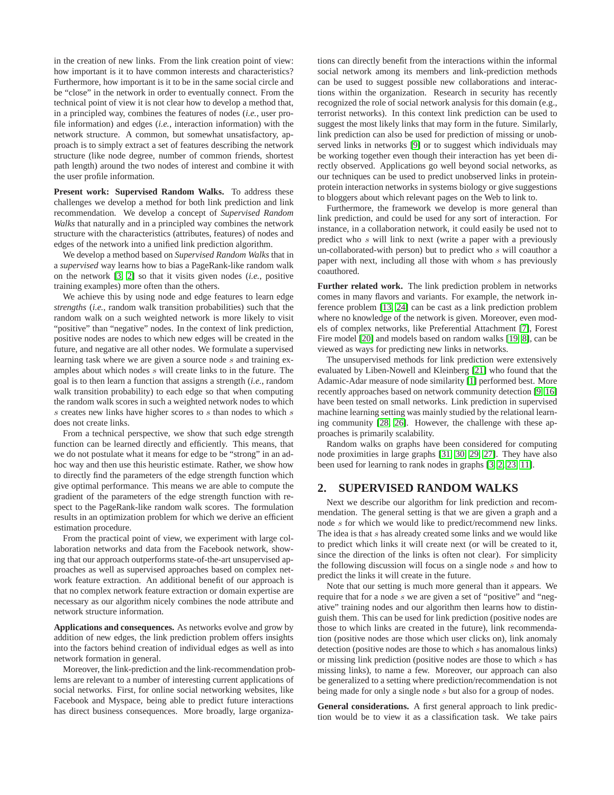in the creation of new links. From the link creation point of view: how important is it to have common interests and characteristics? Furthermore, how important is it to be in the same social circle and be "close" in the network in order to eventually connect. From the technical point of view it is not clear how to develop a method that, in a principled way, combines the features of nodes (*i.e.*, user profile information) and edges (*i.e.*, interaction information) with the network structure. A common, but somewhat unsatisfactory, approach is to simply extract a set of features describing the network structure (like node degree, number of common friends, shortest path length) around the two nodes of interest and combine it with the user profile information.

**Present work: Supervised Random Walks.** To address these challenges we develop a method for both link prediction and link recommendation. We develop a concept of *Supervised Random Walks* that naturally and in a principled way combines the network structure with the characteristics (attributes, features) of nodes and edges of the network into a unified link prediction algorithm.

We develop a method based on *Supervised Random Walks* that in a *supervised* way learns how to bias a PageRank-like random walk on the network [\[3,](#page-9-5) [2\]](#page-9-6) so that it visits given nodes (*i.e.*, positive training examples) more often than the others.

We achieve this by using node and edge features to learn edge *strengths* (*i.e.*, random walk transition probabilities) such that the random walk on a such weighted network is more likely to visit "positive" than "negative" nodes. In the context of link prediction, positive nodes are nodes to which new edges will be created in the future, and negative are all other nodes. We formulate a supervised learning task where we are given a source node s and training examples about which nodes s will create links to in the future. The goal is to then learn a function that assigns a strength (*i.e.*, random walk transition probability) to each edge so that when computing the random walk scores in such a weighted network nodes to which  $s$  creates new links have higher scores to  $s$  than nodes to which  $s$ does not create links.

From a technical perspective, we show that such edge strength function can be learned directly and efficiently. This means, that we do not postulate what it means for edge to be "strong" in an adhoc way and then use this heuristic estimate. Rather, we show how to directly find the parameters of the edge strength function which give optimal performance. This means we are able to compute the gradient of the parameters of the edge strength function with respect to the PageRank-like random walk scores. The formulation results in an optimization problem for which we derive an efficient estimation procedure.

From the practical point of view, we experiment with large collaboration networks and data from the Facebook network, showing that our approach outperforms state-of-the-art unsupervised approaches as well as supervised approaches based on complex network feature extraction. An additional benefit of our approach is that no complex network feature extraction or domain expertise are necessary as our algorithm nicely combines the node attribute and network structure information.

**Applications and consequences.** As networks evolve and grow by addition of new edges, the link prediction problem offers insights into the factors behind creation of individual edges as well as into network formation in general.

Moreover, the link-prediction and the link-recommendation problems are relevant to a number of interesting current applications of social networks. First, for online social networking websites, like Facebook and Myspace, being able to predict future interactions has direct business consequences. More broadly, large organizations can directly benefit from the interactions within the informal social network among its members and link-prediction methods can be used to suggest possible new collaborations and interactions within the organization. Research in security has recently recognized the role of social network analysis for this domain (e.g., terrorist networks). In this context link prediction can be used to suggest the most likely links that may form in the future. Similarly, link prediction can also be used for prediction of missing or unobserved links in networks [\[9\]](#page-9-7) or to suggest which individuals may be working together even though their interaction has yet been directly observed. Applications go well beyond social networks, as our techniques can be used to predict unobserved links in proteinprotein interaction networks in systems biology or give suggestions to bloggers about which relevant pages on the Web to link to.

Furthermore, the framework we develop is more general than link prediction, and could be used for any sort of interaction. For instance, in a collaboration network, it could easily be used not to predict who s will link to next (write a paper with a previously un-collaborated-with person) but to predict who s will coauthor a paper with next, including all those with whom s has previously coauthored.

**Further related work.** The link prediction problem in networks comes in many flavors and variants. For example, the network inference problem [\[13,](#page-9-8) [24\]](#page-9-9) can be cast as a link prediction problem where no knowledge of the network is given. Moreover, even models of complex networks, like Preferential Attachment [\[7\]](#page-9-0), Forest Fire model [\[20\]](#page-9-1) and models based on random walks [\[19,](#page-9-2) [8\]](#page-9-10), can be viewed as ways for predicting new links in networks.

The unsupervised methods for link prediction were extensively evaluated by Liben-Nowell and Kleinberg [\[21\]](#page-9-4) who found that the Adamic-Adar measure of node similarity [\[1\]](#page-9-11) performed best. More recently approaches based on network community detection [\[9,](#page-9-7) [16\]](#page-9-12) have been tested on small networks. Link prediction in supervised machine learning setting was mainly studied by the relational learning community [\[28,](#page-9-13) [26\]](#page-9-14). However, the challenge with these approaches is primarily scalability.

Random walks on graphs have been considered for computing node proximities in large graphs [\[31,](#page-9-15) [30,](#page-9-16) [29,](#page-9-17) [27\]](#page-9-18). They have also been used for learning to rank nodes in graphs [\[3,](#page-9-5) [2,](#page-9-6) [23,](#page-9-19) [11\]](#page-9-20).

# **2. SUPERVISED RANDOM WALKS**

Next we describe our algorithm for link prediction and recommendation. The general setting is that we are given a graph and a node s for which we would like to predict/recommend new links. The idea is that s has already created some links and we would like to predict which links it will create next (or will be created to it, since the direction of the links is often not clear). For simplicity the following discussion will focus on a single node  $s$  and how to predict the links it will create in the future.

Note that our setting is much more general than it appears. We require that for a node s we are given a set of "positive" and "negative" training nodes and our algorithm then learns how to distinguish them. This can be used for link prediction (positive nodes are those to which links are created in the future), link recommendation (positive nodes are those which user clicks on), link anomaly detection (positive nodes are those to which s has anomalous links) or missing link prediction (positive nodes are those to which s has missing links), to name a few. Moreover, our approach can also be generalized to a setting where prediction/recommendation is not being made for only a single node s but also for a group of nodes.

**General considerations.** A first general approach to link prediction would be to view it as a classification task. We take pairs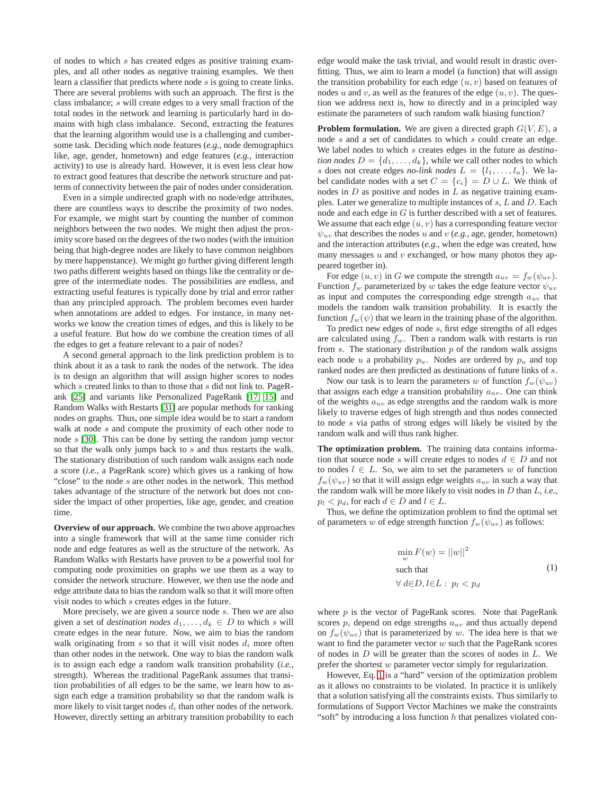of nodes to which s has created edges as positive training examples, and all other nodes as negative training examples. We then learn a classifier that predicts where node s is going to create links. There are several problems with such an approach. The first is the class imbalance; s will create edges to a very small fraction of the total nodes in the network and learning is particularly hard in domains with high class imbalance. Second, extracting the features that the learning algorithm would use is a challenging and cumbersome task. Deciding which node features (*e.g.*, node demographics like, age, gender, hometown) and edge features (*e.g.*, interaction activity) to use is already hard. However, it is even less clear how to extract good features that describe the network structure and patterns of connectivity between the pair of nodes under consideration.

Even in a simple undirected graph with no node/edge attributes, there are countless ways to describe the proximity of two nodes. For example, we might start by counting the number of common neighbors between the two nodes. We might then adjust the proximity score based on the degrees of the two nodes (with the intuition being that high-degree nodes are likely to have common neighbors by mere happenstance). We might go further giving different length two paths different weights based on things like the centrality or degree of the intermediate nodes. The possibilities are endless, and extracting useful features is typically done by trial and error rather than any principled approach. The problem becomes even harder when annotations are added to edges. For instance, in many networks we know the creation times of edges, and this is likely to be a useful feature. But how do we combine the creation times of all the edges to get a feature relevant to a pair of nodes?

A second general approach to the link prediction problem is to think about it as a task to rank the nodes of the network. The idea is to design an algorithm that will assign higher scores to nodes which s created links to than to those that s did not link to. PageRank [\[25\]](#page-9-21) and variants like Personalized PageRank [\[17,](#page-9-22) [15\]](#page-9-23) and Random Walks with Restarts [\[31\]](#page-9-15) are popular methods for ranking nodes on graphs. Thus, one simple idea would be to start a random walk at node s and compute the proximity of each other node to node s [\[30\]](#page-9-16). This can be done by setting the random jump vector so that the walk only jumps back to s and thus restarts the walk. The stationary distribution of such random walk assigns each node a score (*i.e.*, a PageRank score) which gives us a ranking of how "close" to the node  $s$  are other nodes in the network. This method takes advantage of the structure of the network but does not consider the impact of other properties, like age, gender, and creation time.

**Overview of our approach.** We combine the two above approaches into a single framework that will at the same time consider rich node and edge features as well as the structure of the network. As Random Walks with Restarts have proven to be a powerful tool for computing node proximities on graphs we use them as a way to consider the network structure. However, we then use the node and edge attribute data to bias the random walk so that it will more often visit nodes to which s creates edges in the future.

More precisely, we are given a source node s. Then we are also given a set of *destination nodes*  $d_1, \ldots, d_k \in D$  to which s will create edges in the near future. Now, we aim to bias the random walk originating from  $s$  so that it will visit nodes  $d_i$  more often than other nodes in the network. One way to bias the random walk is to assign each edge a random walk transition probability (*i.e.*, strength). Whereas the traditional PageRank assumes that transition probabilities of all edges to be the same, we learn how to assign each edge a transition probability so that the random walk is more likely to visit target nodes  $d_i$  than other nodes of the network. However, directly setting an arbitrary transition probability to each

edge would make the task trivial, and would result in drastic overfitting. Thus, we aim to learn a model (a function) that will assign the transition probability for each edge  $(u, v)$  based on features of nodes u and v, as well as the features of the edge  $(u, v)$ . The question we address next is, how to directly and in a principled way estimate the parameters of such random walk biasing function?

**Problem formulation.** We are given a directed graph  $G(V, E)$ , a node s and a set of candidates to which s could create an edge. We label nodes to which s creates edges in the future as *destination nodes*  $D = \{d_1, \ldots, d_k\}$ , while we call other nodes to which s does not create edges *no-link nodes*  $L = \{l_1, \ldots, l_n\}$ . We label candidate nodes with a set  $C = \{c_i\} = D \cup L$ . We think of nodes in  $D$  as positive and nodes in  $L$  as negative training examples. Later we generalize to multiple instances of s, L and D. Each node and each edge in G is further described with a set of features. We assume that each edge  $(u, v)$  has a corresponding feature vector  $\psi_{uv}$  that describes the nodes u and v (e.g., age, gender, hometown) and the interaction attributes (*e.g.*, when the edge was created, how many messages  $u$  and  $v$  exchanged, or how many photos they appeared together in).

For edge  $(u, v)$  in G we compute the strength  $a_{uv} = f_w(\psi_{uv})$ . Function  $f_w$  parameterized by w takes the edge feature vector  $\psi_{uv}$ as input and computes the corresponding edge strength  $a_{uv}$  that models the random walk transition probability. It is exactly the function  $f_w(\psi)$  that we learn in the training phase of the algorithm.

To predict new edges of node s, first edge strengths of all edges are calculated using  $f_w$ . Then a random walk with restarts is run from  $s$ . The stationary distribution  $p$  of the random walk assigns each node u a probability  $p_u$ . Nodes are ordered by  $p_u$  and top ranked nodes are then predicted as destinations of future links of s.

Now our task is to learn the parameters w of function  $f_w(\psi_{uv})$ that assigns each edge a transition probability  $a_{uv}$ . One can think of the weights  $a_{uv}$  as edge strengths and the random walk is more likely to traverse edges of high strength and thus nodes connected to node s via paths of strong edges will likely be visited by the random walk and will thus rank higher.

**The optimization problem.** The training data contains information that source node s will create edges to nodes  $d \in D$  and not to nodes  $l \in L$ . So, we aim to set the parameters w of function  $f_w(\psi_{uv})$  so that it will assign edge weights  $a_{uv}$  in such a way that the random walk will be more likely to visit nodes in D than L, *i.e.*,  $p_l$  <  $p_d$ , for each  $d \in D$  and  $l \in L$ .

Thus, we define the optimization problem to find the optimal set of parameters w of edge strength function  $f_w(\psi_{uv})$  as follows:

<span id="page-2-0"></span>
$$
\min_{w} F(w) = ||w||^2
$$
  
such that  

$$
\forall d \in D, l \in L : p_l < p_d
$$
 (1)

where  $p$  is the vector of PageRank scores. Note that PageRank scores  $p_i$  depend on edge strengths  $a_{uv}$  and thus actually depend on  $f_w(\psi_{uv})$  that is parameterized by w. The idea here is that we want to find the parameter vector  $w$  such that the PageRank scores of nodes in D will be greater than the scores of nodes in L. We prefer the shortest w parameter vector simply for regularization.

However, Eq. [1](#page-2-0) is a "hard" version of the optimization problem as it allows no constraints to be violated. In practice it is unlikely that a solution satisfying all the constraints exists. Thus similarly to formulations of Support Vector Machines we make the constraints "soft" by introducing a loss function  $h$  that penalizes violated con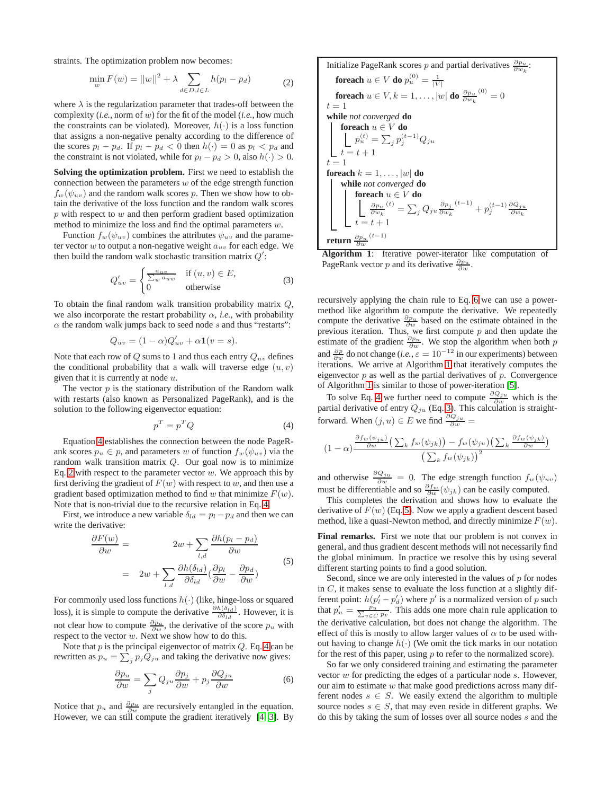straints. The optimization problem now becomes:

<span id="page-3-1"></span>
$$
\min_{w} F(w) = ||w||^2 + \lambda \sum_{d \in D, l \in L} h(p_l - p_d)
$$
 (2)

where  $\lambda$  is the regularization parameter that trades-off between the complexity (*i.e.*, norm of w) for the fit of the model (*i.e.*, how much the constraints can be violated). Moreover,  $h(\cdot)$  is a loss function that assigns a non-negative penalty according to the difference of the scores  $p_l - p_d$ . If  $p_l - p_d < 0$  then  $h(\cdot) = 0$  as  $p_l < p_d$  and the constraint is not violated, while for  $p_l - p_d > 0$ , also  $h(\cdot) > 0$ .

**Solving the optimization problem.** First we need to establish the connection between the parameters  $w$  of the edge strength function  $f_w(\psi_{uv})$  and the random walk scores p. Then we show how to obtain the derivative of the loss function and the random walk scores  $p$  with respect to  $w$  and then perform gradient based optimization method to minimize the loss and find the optimal parameters  $w$ .

Function  $f_w(\psi_{uv})$  combines the attributes  $\psi_{uv}$  and the parameter vector  $w$  to output a non-negative weight  $a_{uv}$  for each edge. We then build the random walk stochastic transition matrix  $Q'$ :

<span id="page-3-4"></span>
$$
Q'_{uv} = \begin{cases} \frac{a_{uv}}{\sum_{w} a_{uw}} & \text{if } (u, v) \in E, \\ 0 & \text{otherwise} \end{cases}
$$
 (3)

To obtain the final random walk transition probability matrix  $Q$ , we also incorporate the restart probability  $\alpha$ , *i.e.*, with probability  $\alpha$  the random walk jumps back to seed node s and thus "restarts":

$$
Q_{uv} = (1 - \alpha)Q'_{uv} + \alpha \mathbf{1}(v = s).
$$

Note that each row of  $Q$  sums to 1 and thus each entry  $Q_{uv}$  defines the conditional probability that a walk will traverse edge  $(u, v)$ given that it is currently at node  $u$ .

The vector  $p$  is the stationary distribution of the Random walk with restarts (also known as Personalized PageRank), and is the solution to the following eigenvector equation:

<span id="page-3-0"></span>
$$
p^T = p^T Q \tag{4}
$$

Equation [4](#page-3-0) establishes the connection between the node PageRank scores  $p_u \in p$ , and parameters w of function  $f_w(\psi_{uv})$  via the random walk transition matrix Q. Our goal now is to minimize Eq. [2](#page-3-1) with respect to the parameter vector  $w$ . We approach this by first deriving the gradient of  $F(w)$  with respect to w, and then use a gradient based optimization method to find w that minimize  $F(w)$ . Note that is non-trivial due to the recursive relation in Eq. [4.](#page-3-0)

First, we introduce a new variable  $\delta_{ld} = p_l - p_d$  and then we can write the derivative:

<span id="page-3-5"></span>
$$
\frac{\partial F(w)}{\partial w} = 2w + \sum_{l,d} \frac{\partial h(p_l - p_d)}{\partial w} \n= 2w + \sum_{l,d} \frac{\partial h(\delta_{ld})}{\partial \delta_{ld}} \left(\frac{\partial p_l}{\partial w} - \frac{\partial p_d}{\partial w}\right)
$$
\n(5)

For commonly used loss functions  $h(\cdot)$  (like, hinge-loss or squared loss), it is simple to compute the derivative  $\frac{\partial h(\delta_{ld})}{\partial \delta_{ld}}$ . However, it is not clear how to compute  $\frac{\partial p_u}{\partial w}$ , the derivative of the score  $p_u$  with respect to the vector w. Next we show how to do this.

Note that  $p$  is the principal eigenvector of matrix  $Q$ . Eq. [4](#page-3-0) can be rewritten as  $p_u = \sum_j p_j Q_{ju}$  and taking the derivative now gives:

<span id="page-3-2"></span>
$$
\frac{\partial p_u}{\partial w} = \sum_j Q_{ju} \frac{\partial p_j}{\partial w} + p_j \frac{\partial Q_{ju}}{\partial w} \tag{6}
$$

Notice that  $p_u$  and  $\frac{\partial p_u}{\partial w}$  are recursively entangled in the equation. However, we can still compute the gradient iteratively [\[4,](#page-9-24) [3\]](#page-9-5). By



<span id="page-3-3"></span>Algorithm 1: Iterative power-iterator like computation PageRank vector *p* and its derivative  $\frac{\partial p_u}{\partial w}$ .

recursively applying the chain rule to Eq. [6](#page-3-2) we can use a powermethod like algorithm to compute the derivative. We repeatedly compute the derivative  $\frac{\partial p_u}{\partial w}$  based on the estimate obtained in the previous iteration. Thus, we first compute  $p$  and then update the estimate of the gradient  $\frac{\partial p_u}{\partial w}$ . We stop the algorithm when both p and  $\frac{\partial p}{\partial w}$  do not change (*i.e.*,  $\varepsilon = 10^{-12}$  in our experiments) between iterations. We arrive at Algorithm [1](#page-3-3) that iteratively computes the eigenvector  $p$  as well as the partial derivatives of  $p$ . Convergence of Algorithm [1](#page-3-3) is similar to those of power-iteration [\[5\]](#page-9-25).

To solve Eq. [4](#page-3-0) we further need to compute  $\frac{\partial Q_{ju}}{\partial w}$  which is the partial derivative of entry  $Q_{ju}$  (Eq. [3\)](#page-3-4). This calculation is straightforward. When  $(j, u) \in E$  we find  $\frac{\partial Q_{ju}}{\partial w} =$ 

$$
(1 - \alpha) \frac{\frac{\partial f_w(\psi_{ju})}{\partial w} \left( \sum_k f_w(\psi_{jk}) \right) - f_w(\psi_{ju}) \left( \sum_k \frac{\partial f_w(\psi_{jk})}{\partial w} \right)}{\left( \sum_k f_w(\psi_{jk}) \right)^2}
$$

and otherwise  $\frac{\partial Q_{ju}}{\partial w} = 0$ . The edge strength function  $f_w(\psi_{uv})$ must be differentiable and so  $\frac{\partial f_w}{\partial w}(\psi_{jk})$  can be easily computed.

This completes the derivation and shows how to evaluate the derivative of  $F(w)$  (Eq. [5\)](#page-3-5). Now we apply a gradient descent based method, like a quasi-Newton method, and directly minimize  $F(w)$ .

**Final remarks.** First we note that our problem is not convex in general, and thus gradient descent methods will not necessarily find the global minimum. In practice we resolve this by using several different starting points to find a good solution.

Second, since we are only interested in the values of  $p$  for nodes in  $C$ , it makes sense to evaluate the loss function at a slightly different point:  $h(p'_l - p'_d)$  where  $p'$  is a normalized version of p such that  $p'_u = \frac{p_u}{\sum_{v \in C} p_v}$ . This adds one more chain rule application to the derivative calculation, but does not change the algorithm. The effect of this is mostly to allow larger values of  $\alpha$  to be used without having to change  $h(\cdot)$  (We omit the tick marks in our notation for the rest of this paper, using  $p$  to refer to the normalized score).

So far we only considered training and estimating the parameter vector  $w$  for predicting the edges of a particular node  $s$ . However, our aim to estimate  $w$  that make good predictions across many different nodes  $s \in S$ . We easily extend the algorithm to multiple source nodes  $s \in S$ , that may even reside in different graphs. We do this by taking the sum of losses over all source nodes s and the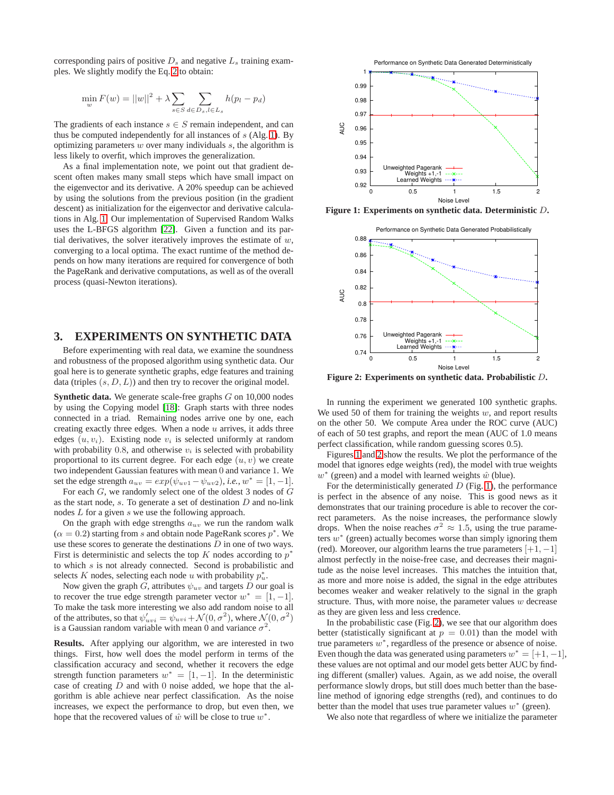corresponding pairs of positive  $D_s$  and negative  $L_s$  training examples. We slightly modify the Eq. [2](#page-3-1) to obtain:

$$
\min_{w} F(w) = ||w||^2 + \lambda \sum_{s \in S} \sum_{d \in D_s, l \in L_s} h(p_l - p_d)
$$

The gradients of each instance  $s \in S$  remain independent, and can thus be computed independently for all instances of  $s$  (Alg. [1\)](#page-3-3). By optimizing parameters  $w$  over many individuals  $s$ , the algorithm is less likely to overfit, which improves the generalization.

As a final implementation note, we point out that gradient descent often makes many small steps which have small impact on the eigenvector and its derivative. A 20% speedup can be achieved by using the solutions from the previous position (in the gradient descent) as initialization for the eigenvector and derivative calculations in Alg. [1.](#page-3-3) Our implementation of Supervised Random Walks uses the L-BFGS algorithm [\[22\]](#page-9-26). Given a function and its partial derivatives, the solver iteratively improves the estimate of  $w$ , converging to a local optima. The exact runtime of the method depends on how many iterations are required for convergence of both the PageRank and derivative computations, as well as of the overall process (quasi-Newton iterations).

# **3. EXPERIMENTS ON SYNTHETIC DATA**

Before experimenting with real data, we examine the soundness and robustness of the proposed algorithm using synthetic data. Our goal here is to generate synthetic graphs, edge features and training data (triples  $(s, D, L)$ ) and then try to recover the original model.

**Synthetic data.** We generate scale-free graphs G on 10,000 nodes by using the Copying model [\[18\]](#page-9-27): Graph starts with three nodes connected in a triad. Remaining nodes arrive one by one, each creating exactly three edges. When a node  $u$  arrives, it adds three edges  $(u, v_i)$ . Existing node  $v_i$  is selected uniformly at random with probability 0.8, and otherwise  $v_i$  is selected with probability proportional to its current degree. For each edge  $(u, v)$  we create two independent Gaussian features with mean 0 and variance 1. We set the edge strength  $a_{uv} = exp(\psi_{uv1} - \psi_{uv2}), i.e., w^* = [1, -1].$ 

For each G, we randomly select one of the oldest 3 nodes of G as the start node,  $s$ . To generate a set of destination  $D$  and no-link nodes L for a given s we use the following approach.

On the graph with edge strengths  $a_{uv}$  we run the random walk  $(\alpha = 0.2)$  starting from s and obtain node PageRank scores  $p^*$ . We use these scores to generate the destinations  $D$  in one of two ways. First is deterministic and selects the top  $K$  nodes according to  $p^*$ to which s is not already connected. Second is probabilistic and selects K nodes, selecting each node u with probability  $p_u^*$ .

Now given the graph G, attributes  $\psi_{uv}$  and targets D our goal is to recover the true edge strength parameter vector  $w^* = [1, -1]$ . To make the task more interesting we also add random noise to all of the attributes, so that  $\psi'_{uvi} = \psi_{uvi} + \mathcal{N}(0, \sigma^2)$ , where  $\mathcal{N}(0, \sigma^2)$ is a Gaussian random variable with mean 0 and variance  $\sigma^2$ .

**Results.** After applying our algorithm, we are interested in two things. First, how well does the model perform in terms of the classification accuracy and second, whether it recovers the edge strength function parameters  $w^* = [1, -1]$ . In the deterministic case of creating  $D$  and with 0 noise added, we hope that the algorithm is able achieve near perfect classification. As the noise increases, we expect the performance to drop, but even then, we hope that the recovered values of  $\hat{w}$  will be close to true  $w^*$ .



**Figure 1: Experiments on synthetic data. Deterministic** D**.**

<span id="page-4-0"></span>

<span id="page-4-1"></span>**Figure 2: Experiments on synthetic data. Probabilistic** D**.**

In running the experiment we generated 100 synthetic graphs. We used 50 of them for training the weights  $w$ , and report results on the other 50. We compute Area under the ROC curve (AUC) of each of 50 test graphs, and report the mean (AUC of 1.0 means perfect classification, while random guessing scores 0.5).

Figures [1](#page-4-0) and [2](#page-4-1) show the results. We plot the performance of the model that ignores edge weights (red), the model with true weights  $w^*$  (green) and a model with learned weights  $\hat{w}$  (blue).

For the deterministically generated  $D$  (Fig. [1\)](#page-4-0), the performance is perfect in the absence of any noise. This is good news as it demonstrates that our training procedure is able to recover the correct parameters. As the noise increases, the performance slowly drops. When the noise reaches  $\sigma^2 \approx 1.5$ , using the true parameters  $w^*$  (green) actually becomes worse than simply ignoring them (red). Moreover, our algorithm learns the true parameters  $[+1, -1]$ almost perfectly in the noise-free case, and decreases their magnitude as the noise level increases. This matches the intuition that, as more and more noise is added, the signal in the edge attributes becomes weaker and weaker relatively to the signal in the graph structure. Thus, with more noise, the parameter values  $w$  decrease as they are given less and less credence.

In the probabilistic case (Fig. [2\)](#page-4-1), we see that our algorithm does better (statistically significant at  $p = 0.01$ ) than the model with true parameters  $w^*$ , regardless of the presence or absence of noise. Even though the data was generated using parameters  $w^* = [+1, -1]$ , these values are not optimal and our model gets better AUC by finding different (smaller) values. Again, as we add noise, the overall performance slowly drops, but still does much better than the baseline method of ignoring edge strengths (red), and continues to do better than the model that uses true parameter values  $w^*$  (green).

We also note that regardless of where we initialize the parameter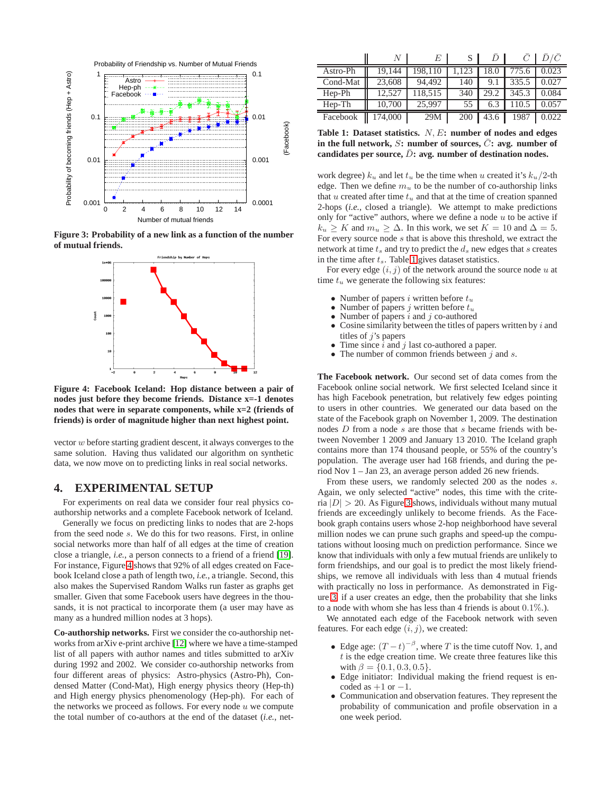

**Figure 3: Probability of a new link as a function of the number of mutual friends.**

<span id="page-5-2"></span>

<span id="page-5-0"></span>**Figure 4: Facebook Iceland: Hop distance between a pair of nodes just before they become friends. Distance x=-1 denotes nodes that were in separate components, while x=2 (friends of friends) is order of magnitude higher than next highest point.**

vector w before starting gradient descent, it always converges to the same solution. Having thus validated our algorithm on synthetic data, we now move on to predicting links in real social networks.

# <span id="page-5-3"></span>**4. EXPERIMENTAL SETUP**

For experiments on real data we consider four real physics coauthorship networks and a complete Facebook network of Iceland.

Generally we focus on predicting links to nodes that are 2-hops from the seed node s. We do this for two reasons. First, in online social networks more than half of all edges at the time of creation close a triangle, *i.e.*, a person connects to a friend of a friend [\[19\]](#page-9-2). For instance, Figure [4](#page-5-0) shows that 92% of all edges created on Facebook Iceland close a path of length two, *i.e.*, a triangle. Second, this also makes the Supervised Random Walks run faster as graphs get smaller. Given that some Facebook users have degrees in the thousands, it is not practical to incorporate them (a user may have as many as a hundred million nodes at 3 hops).

**Co-authorship networks.** First we consider the co-authorship networks from arXiv e-print archive [\[12\]](#page-9-28) where we have a time-stamped list of all papers with author names and titles submitted to arXiv during 1992 and 2002. We consider co-authorship networks from four different areas of physics: Astro-physics (Astro-Ph), Condensed Matter (Cond-Mat), High energy physics theory (Hep-th) and High energy physics phenomenology (Hep-ph). For each of the networks we proceed as follows. For every node  $u$  we compute the total number of co-authors at the end of the dataset (*i.e.*, net-

|          | N       | F.      | S     | D    |       | D/C   |
|----------|---------|---------|-------|------|-------|-------|
| Astro-Ph | 19.144  | 198.110 | 1.123 | 18.0 | 775.6 | 0.023 |
| Cond-Mat | 23,608  | 94.492  | 140   | 9.1  | 335.5 | 0.027 |
| Hep-Ph   | 12.527  | 118.515 | 340   | 29.2 | 345.3 | 0.084 |
| $Hep-Th$ | 10,700  | 25.997  | 55    | 6.3  | 110.5 | 0.057 |
| Facebook | 174.000 | 29M     | 200   | 43.6 | 1987  | 0.022 |

<span id="page-5-1"></span>**Table 1: Dataset statistics.** N, E**: number of nodes and edges** in the full network,  $S$ **:** number of sources,  $\overline{C}$ **:** avg. number of candidates per source,  $\bar{D}$ : avg. number of destination nodes.

work degree)  $k_u$  and let  $t_u$  be the time when u created it's  $k_u/2$ -th edge. Then we define  $m<sub>u</sub>$  to be the number of co-authorship links that u created after time  $t<sub>u</sub>$  and that at the time of creation spanned 2-hops (*i.e.*, closed a triangle). We attempt to make predictions only for "active" authors, where we define a node  $u$  to be active if  $k_u \geq K$  and  $m_u \geq \Delta$ . In this work, we set  $K = 10$  and  $\Delta = 5$ . For every source node s that is above this threshold, we extract the network at time  $t_s$  and try to predict the  $d_s$  new edges that  $s$  creates in the time after  $t_s$ . Table [1](#page-5-1) gives dataset statistics.

For every edge  $(i, j)$  of the network around the source node u at time  $t<sub>u</sub>$  we generate the following six features:

- Number of papers *i* written before  $t_u$ <br>• Number of papers *i* written before  $t_u$
- Number of papers j written before  $t_u$
- Number of papers  $i$  and  $j$  co-authored<br>• Cosine similarity between the titles of t
- Cosine similarity between the titles of papers written by  $i$  and titles of  $j$ 's papers
- Time since  $\overline{i}$  and  $j$  last co-authored a paper.<br>• The number of common friends between  $i$
- The number of common friends between  $j$  and  $s$ .

**The Facebook network.** Our second set of data comes from the Facebook online social network. We first selected Iceland since it has high Facebook penetration, but relatively few edges pointing to users in other countries. We generated our data based on the state of the Facebook graph on November 1, 2009. The destination nodes D from a node s are those that s became friends with between November 1 2009 and January 13 2010. The Iceland graph contains more than 174 thousand people, or 55% of the country's population. The average user had 168 friends, and during the period Nov 1 – Jan 23, an average person added 26 new friends.

From these users, we randomly selected 200 as the nodes s. Again, we only selected "active" nodes, this time with the criteria  $|D| > 20$ . As Figure [3](#page-5-2) shows, individuals without many mutual friends are exceedingly unlikely to become friends. As the Facebook graph contains users whose 2-hop neighborhood have several million nodes we can prune such graphs and speed-up the computations without loosing much on prediction performance. Since we know that individuals with only a few mutual friends are unlikely to form friendships, and our goal is to predict the most likely friendships, we remove all individuals with less than 4 mutual friends with practically no loss in performance. As demonstrated in Figure [3,](#page-5-2) if a user creates an edge, then the probability that she links to a node with whom she has less than 4 friends is about 0.1%.).

We annotated each edge of the Facebook network with seven features. For each edge  $(i, j)$ , we created:

- Edge age:  $(T-t)^{-\beta}$ , where T is the time cutoff Nov. 1, and  $t$  is the edge creation time. We create three features like this with  $\beta = \{0.1, 0.3, 0.5\}.$
- Edge initiator: Individual making the friend request is encoded as  $+1$  or  $-1$ .
- Communication and observation features. They represent the probability of communication and profile observation in a one week period.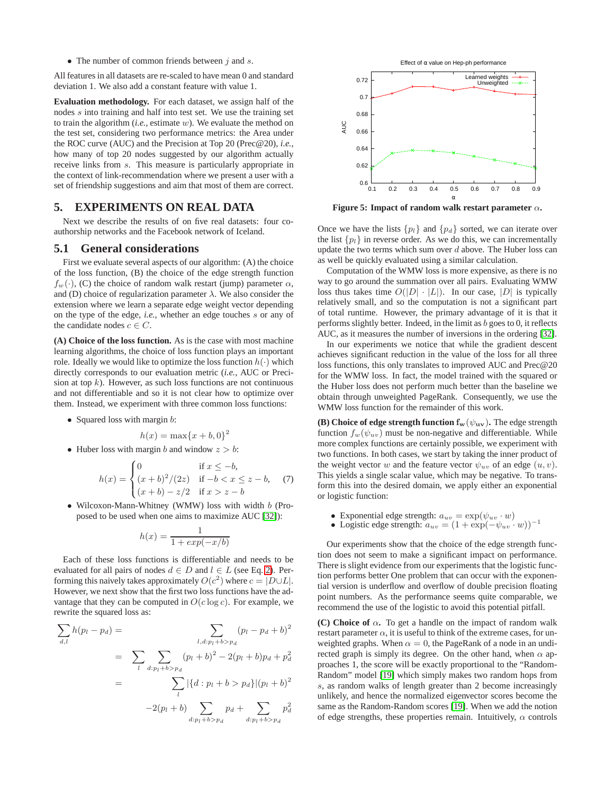• The number of common friends between  $j$  and  $s$ .

All features in all datasets are re-scaled to have mean 0 and standard deviation 1. We also add a constant feature with value 1.

**Evaluation methodology.** For each dataset, we assign half of the nodes s into training and half into test set. We use the training set to train the algorithm (*i.e.*, estimate w). We evaluate the method on the test set, considering two performance metrics: the Area under the ROC curve (AUC) and the Precision at Top 20 (Prec@20), *i.e.*, how many of top 20 nodes suggested by our algorithm actually receive links from s. This measure is particularly appropriate in the context of link-recommendation where we present a user with a set of friendship suggestions and aim that most of them are correct.

## **5. EXPERIMENTS ON REAL DATA**

Next we describe the results of on five real datasets: four coauthorship networks and the Facebook network of Iceland.

#### **5.1 General considerations**

First we evaluate several aspects of our algorithm: (A) the choice of the loss function, (B) the choice of the edge strength function  $f_w(\cdot)$ , (C) the choice of random walk restart (jump) parameter  $\alpha$ , and (D) choice of regularization parameter  $\lambda$ . We also consider the extension where we learn a separate edge weight vector depending on the type of the edge, *i.e.*, whether an edge touches s or any of the candidate nodes  $c \in C$ .

**(A) Choice of the loss function.** As is the case with most machine learning algorithms, the choice of loss function plays an important role. Ideally we would like to optimize the loss function  $h(\cdot)$  which directly corresponds to our evaluation metric (*i.e.*, AUC or Precision at top  $k$ ). However, as such loss functions are not continuous and not differentiable and so it is not clear how to optimize over them. Instead, we experiment with three common loss functions:

• Squared loss with margin *b*:

$$
h(x) = \max\{x+b,0\}^2
$$

• Huber loss with margin b and window  $z > b$ :

$$
h(x) = \begin{cases} 0 & \text{if } x \le -b, \\ (x+b)^2/(2z) & \text{if } -b < x \le z - b, \\ (x+b) - z/2 & \text{if } x > z - b \end{cases}
$$
 (7)

• Wilcoxon-Mann-Whitney (WMW) loss with width b (Proposed to be used when one aims to maximize AUC [\[32\]](#page-9-29)):

$$
h(x) = \frac{1}{1 + exp(-x/b)}
$$

Each of these loss functions is differentiable and needs to be evaluated for all pairs of nodes  $d \in D$  and  $l \in L$  (see Eq. [2\)](#page-3-1). Performing this naively takes approximately  $O(c^2)$  where  $c = |D \cup L|$ . However, we next show that the first two loss functions have the advantage that they can be computed in  $O(c \log c)$ . For example, we rewrite the squared loss as:

$$
\sum_{d,l} h(p_l - p_d) = \sum_{l, d: p_l + b > p_d} (p_l - p_d + b)^2
$$
  
= 
$$
\sum_{l} \sum_{d: p_l + b > p_d} (p_l + b)^2 - 2(p_l + b)p_d + p_d^2
$$
  
= 
$$
\sum_{l} |\{d: p_l + b > p_d\}| (p_l + b)^2
$$
  
-2(p\_l + b) 
$$
\sum_{d: p_l + b > p_d} p_d + \sum_{d: p_l + b > p_d} p_d^2
$$



<span id="page-6-0"></span>**Figure 5: Impact of random walk restart parameter** α**.**

Once we have the lists  $\{p_l\}$  and  $\{p_d\}$  sorted, we can iterate over the list  $\{p_l\}$  in reverse order. As we do this, we can incrementally update the two terms which sum over  $d$  above. The Huber loss can as well be quickly evaluated using a similar calculation.

Computation of the WMW loss is more expensive, as there is no way to go around the summation over all pairs. Evaluating WMW loss thus takes time  $O(|D| \cdot |L|)$ . In our case,  $|D|$  is typically relatively small, and so the computation is not a significant part of total runtime. However, the primary advantage of it is that it performs slightly better. Indeed, in the limit as  $b$  goes to 0, it reflects AUC, as it measures the number of inversions in the ordering [\[32\]](#page-9-29).

In our experiments we notice that while the gradient descent achieves significant reduction in the value of the loss for all three loss functions, this only translates to improved AUC and Prec@20 for the WMW loss. In fact, the model trained with the squared or the Huber loss does not perform much better than the baseline we obtain through unweighted PageRank. Consequently, we use the WMW loss function for the remainder of this work.

**(B) Choice of edge strength function**  $f_w(\psi_{uv})$ **. The edge strength** function  $f_w(\psi_{uv})$  must be non-negative and differentiable. While more complex functions are certainly possible, we experiment with two functions. In both cases, we start by taking the inner product of the weight vector w and the feature vector  $\psi_{uv}$  of an edge  $(u, v)$ . This yields a single scalar value, which may be negative. To transform this into the desired domain, we apply either an exponential or logistic function:

- Exponential edge strength:  $a_{uv} = \exp(\psi_{uv} \cdot w)$
- Logistic edge strength:  $a_{uv} = (1 + \exp(-\psi_{uv} \cdot w))^{-1}$

Our experiments show that the choice of the edge strength function does not seem to make a significant impact on performance. There is slight evidence from our experiments that the logistic function performs better One problem that can occur with the exponential version is underflow and overflow of double precision floating point numbers. As the performance seems quite comparable, we recommend the use of the logistic to avoid this potential pitfall.

**(C) Choice of**  $\alpha$ . To get a handle on the impact of random walk restart parameter  $\alpha$ , it is useful to think of the extreme cases, for unweighted graphs. When  $\alpha = 0$ , the PageRank of a node in an undirected graph is simply its degree. On the other hand, when  $\alpha$  approaches 1, the score will be exactly proportional to the "Random-Random" model [\[19\]](#page-9-2) which simply makes two random hops from s, as random walks of length greater than 2 become increasingly unlikely, and hence the normalized eigenvector scores become the same as the Random-Random scores [\[19\]](#page-9-2). When we add the notion of edge strengths, these properties remain. Intuitively,  $\alpha$  controls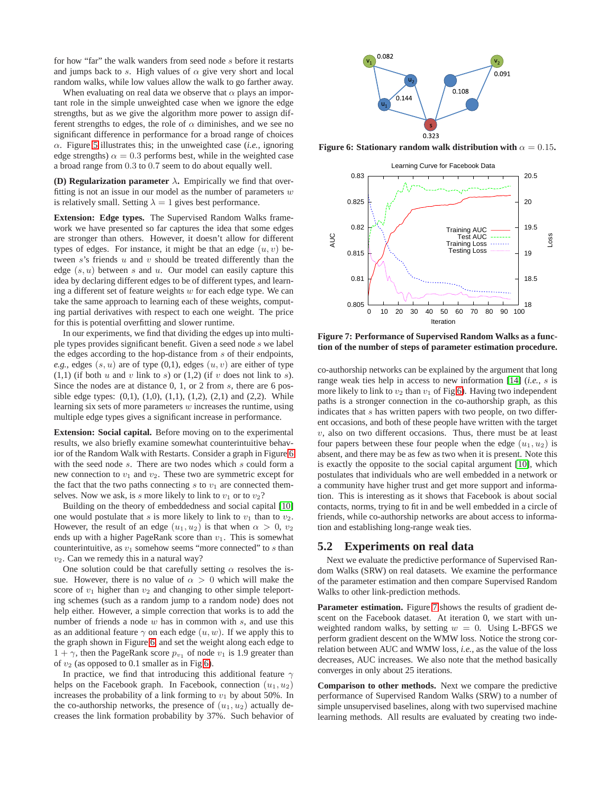for how "far" the walk wanders from seed node s before it restarts and jumps back to s. High values of  $\alpha$  give very short and local random walks, while low values allow the walk to go farther away.

When evaluating on real data we observe that  $\alpha$  plays an important role in the simple unweighted case when we ignore the edge strengths, but as we give the algorithm more power to assign different strengths to edges, the role of  $\alpha$  diminishes, and we see no significant difference in performance for a broad range of choices  $\alpha$ . Figure [5](#page-6-0) illustrates this; in the unweighted case *(i.e.*, ignoring edge strengths)  $\alpha = 0.3$  performs best, while in the weighted case a broad range from 0.3 to 0.7 seem to do about equally well.

**(D) Regularization parameter**  $\lambda$ . Empirically we find that overfitting is not an issue in our model as the number of parameters  $w$ is relatively small. Setting  $\lambda = 1$  gives best performance.

**Extension: Edge types.** The Supervised Random Walks framework we have presented so far captures the idea that some edges are stronger than others. However, it doesn't allow for different types of edges. For instance, it might be that an edge  $(u, v)$  between  $s$ 's friends  $u$  and  $v$  should be treated differently than the edge  $(s, u)$  between s and u. Our model can easily capture this idea by declaring different edges to be of different types, and learning a different set of feature weights  $w$  for each edge type. We can take the same approach to learning each of these weights, computing partial derivatives with respect to each one weight. The price for this is potential overfitting and slower runtime.

In our experiments, we find that dividing the edges up into multiple types provides significant benefit. Given a seed node s we label the edges according to the hop-distance from s of their endpoints, *e.g.*, edges  $(s, u)$  are of type  $(0, 1)$ , edges  $(u, v)$  are either of type  $(1,1)$  (if both u and v link to s) or  $(1,2)$  (if v does not link to s). Since the nodes are at distance 0, 1, or 2 from s, there are 6 possible edge types:  $(0,1)$ ,  $(1,0)$ ,  $(1,1)$ ,  $(1,2)$ ,  $(2,1)$  and  $(2,2)$ . While learning six sets of more parameters  $w$  increases the runtime, using multiple edge types gives a significant increase in performance.

**Extension: Social capital.** Before moving on to the experimental results, we also briefly examine somewhat counterintuitive behavior of the Random Walk with Restarts. Consider a graph in Figure [6](#page-7-0) with the seed node s. There are two nodes which s could form a new connection to  $v_1$  and  $v_2$ . These two are symmetric except for the fact that the two paths connecting  $s$  to  $v_1$  are connected themselves. Now we ask, is s more likely to link to  $v_1$  or to  $v_2$ ?

Building on the theory of embeddedness and social capital [\[10\]](#page-9-30) one would postulate that s is more likely to link to  $v_1$  than to  $v_2$ . However, the result of an edge  $(u_1, u_2)$  is that when  $\alpha > 0$ ,  $v_2$ ends up with a higher PageRank score than  $v_1$ . This is somewhat counterintuitive, as  $v_1$  somehow seems "more connected" to s than  $v_2$ . Can we remedy this in a natural way?

One solution could be that carefully setting  $\alpha$  resolves the issue. However, there is no value of  $\alpha > 0$  which will make the score of  $v_1$  higher than  $v_2$  and changing to other simple teleporting schemes (such as a random jump to a random node) does not help either. However, a simple correction that works is to add the number of friends a node  $w$  has in common with  $s$ , and use this as an additional feature  $\gamma$  on each edge  $(u, w)$ . If we apply this to the graph shown in Figure [6,](#page-7-0) and set the weight along each edge to  $1 + \gamma$ , then the PageRank score  $p_{v_1}$  of node  $v_1$  is 1.9 greater than of  $v_2$  (as opposed to 0.1 smaller as in Fig [6\)](#page-7-0).

In practice, we find that introducing this additional feature  $\gamma$ helps on the Facebook graph. In Facebook, connection  $(u_1, u_2)$ increases the probability of a link forming to  $v_1$  by about 50%. In the co-authorship networks, the presence of  $(u_1, u_2)$  actually decreases the link formation probability by 37%. Such behavior of



**Figure 6: Stationary random walk distribution with**  $\alpha = 0.15$ **.** 

<span id="page-7-0"></span>

<span id="page-7-1"></span>**Figure 7: Performance of Supervised Random Walks as a function of the number of steps of parameter estimation procedure.**

co-authorship networks can be explained by the argument that long range weak ties help in access to new information [\[14\]](#page-9-31) (*i.e.*, s is more likely to link to  $v_2$  than  $v_1$  of Fig [6\)](#page-7-0). Having two independent paths is a stronger connection in the co-authorship graph, as this indicates that s has written papers with two people, on two different occasions, and both of these people have written with the target  $v$ , also on two different occasions. Thus, there must be at least four papers between these four people when the edge  $(u_1, u_2)$  is absent, and there may be as few as two when it is present. Note this is exactly the opposite to the social capital argument [\[10\]](#page-9-30), which postulates that individuals who are well embedded in a network or a community have higher trust and get more support and information. This is interesting as it shows that Facebook is about social contacts, norms, trying to fit in and be well embedded in a circle of friends, while co-authorship networks are about access to information and establishing long-range weak ties.

#### **5.2 Experiments on real data**

Next we evaluate the predictive performance of Supervised Random Walks (SRW) on real datasets. We examine the performance of the parameter estimation and then compare Supervised Random Walks to other link-prediction methods.

Parameter estimation. Figure [7](#page-7-1) shows the results of gradient descent on the Facebook dataset. At iteration 0, we start with unweighted random walks, by setting  $w = 0$ . Using L-BFGS we perform gradient descent on the WMW loss. Notice the strong correlation between AUC and WMW loss, *i.e.*, as the value of the loss decreases, AUC increases. We also note that the method basically converges in only about 25 iterations.

**Comparison to other methods.** Next we compare the predictive performance of Supervised Random Walks (SRW) to a number of simple unsupervised baselines, along with two supervised machine learning methods. All results are evaluated by creating two inde-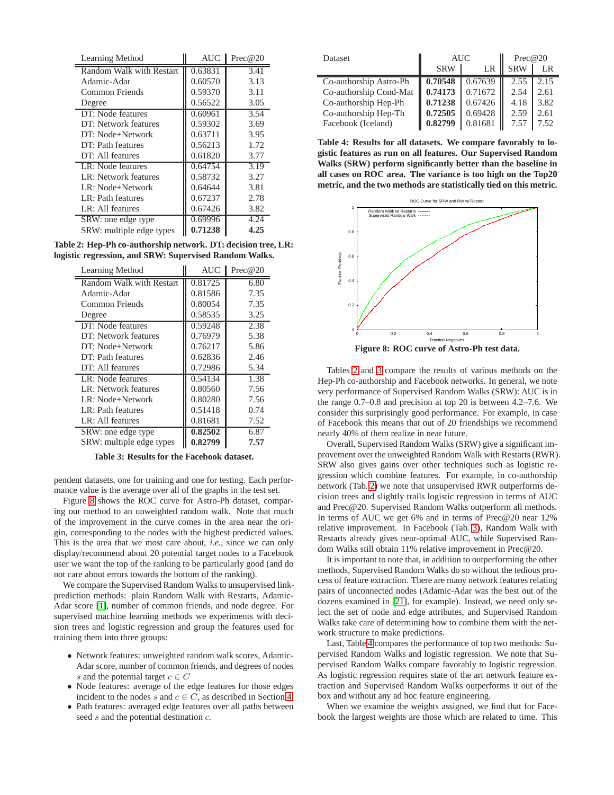| Learning Method          | <b>AUC</b> | Prec@20 |  |
|--------------------------|------------|---------|--|
| Random Walk with Restart | 0.63831    | 3.41    |  |
| Adamic-Adar              | 0.60570    | 3.13    |  |
| Common Friends           | 0.59370    | 3.11    |  |
| Degree                   | 0.56522    | 3.05    |  |
| DT: Node features        | 0.60961    | 3.54    |  |
| DT: Network features     | 0.59302    | 3.69    |  |
| DT: Node+Network         | 0.63711    | 3.95    |  |
| DT: Path features        | 0.56213    | 1.72    |  |
| DT: All features         | 0.61820    | 3.77    |  |
| LR: Node features        | 0.64754    | 3.19    |  |
| LR: Network features     | 0.58732    | 3.27    |  |
| LR: Node+Network         | 0.64644    | 3.81    |  |
| LR: Path features        | 0.67237    | 2.78    |  |
| LR: All features         | 0.67426    | 3.82    |  |
| SRW: one edge type       | 0.69996    | 4.24    |  |
| SRW: multiple edge types | 0.71238    | 4.25    |  |

**Table 2: Hep-Ph co-authorship network. DT: decision tree, LR: logistic regression, and SRW: Supervised Random Walks.**

<span id="page-8-1"></span>

| Learning Method          | <b>AUC</b> | Prec@20 |  |
|--------------------------|------------|---------|--|
| Random Walk with Restart | 0.81725    | 6.80    |  |
| Adamic-Adar              | 0.81586    | 7.35    |  |
| Common Friends           | 0.80054    | 7.35    |  |
| Degree                   | 0.58535    | 3.25    |  |
| DT: Node features        | 0.59248    | 2.38    |  |
| DT: Network features     | 0.76979    | 5.38    |  |
| DT: Node+Network         | 0.76217    | 5.86    |  |
| DT: Path features        | 0.62836    | 2.46    |  |
| DT: All features         | 0.72986    | 5.34    |  |
| LR: Node features        | 0.54134    | 1.38    |  |
| LR: Network features     | 0.80560    | 7.56    |  |
| LR: Node+Network         | 0.80280    | 7.56    |  |
| LR: Path features        | 0.51418    | 0.74    |  |
| LR: All features         | 0.81681    | 7.52    |  |
| SRW: one edge type       | 0.82502    | 6.87    |  |
| SRW: multiple edge types | 0.82799    | 7.57    |  |

<span id="page-8-2"></span>**Table 3: Results for the Facebook dataset.**

pendent datasets, one for training and one for testing. Each performance value is the average over all of the graphs in the test set.

Figure [8](#page-8-0) shows the ROC curve for Astro-Ph dataset, comparing our method to an unweighted random walk. Note that much of the improvement in the curve comes in the area near the origin, corresponding to the nodes with the highest predicted values. This is the area that we most care about, *i.e.*, since we can only display/recommend about 20 potential target nodes to a Facebook user we want the top of the ranking to be particularly good (and do not care about errors towards the bottom of the ranking).

We compare the Supervised Random Walks to unsupervised linkprediction methods: plain Random Walk with Restarts, Adamic-Adar score [\[1\]](#page-9-11), number of common friends, and node degree. For supervised machine learning methods we experiments with decision trees and logistic regression and group the features used for training them into three groups:

- Network features: unweighted random walk scores, Adamic-Adar score, number of common friends, and degrees of nodes s and the potential target  $c \in C$
- Node features: average of the edge features for those edges incident to the nodes s and  $c \in C$ , as described in Section [4](#page-5-3)
- Path features: averaged edge features over all paths between seed s and the potential destination  $c$ .

| <b>Dataset</b>         | <b>AUC</b> | Prec@20 |            |      |
|------------------------|------------|---------|------------|------|
|                        | <b>SRW</b> | LR      | <b>SRW</b> | LR   |
| Co-authorship Astro-Ph | 0.70548    | 0.67639 | 2.55       | 2.15 |
| Co-authorship Cond-Mat | 0.74173    | 0.71672 | 2.54       | 2.61 |
| Co-authorship Hep-Ph   | 0.71238    | 0.67426 | 4.18       | 3.82 |
| Co-authorship Hep-Th   | 0.72505    | 0.69428 | 2.59       | 2.61 |
| Facebook (Iceland)     | 0.82799    | 0.81681 | 7.57       | 7.52 |

<span id="page-8-3"></span>**Table 4: Results for all datasets. We compare favorably to logistic features as run on all features. Our Supervised Random Walks (SRW) perform significantly better than the baseline in all cases on ROC area. The variance is too high on the Top20 metric, and the two methods are statistically tied on this metric.**



<span id="page-8-0"></span>**Figure 8: ROC curve of Astro-Ph test data.**

Tables [2](#page-8-1) and [3](#page-8-2) compare the results of various methods on the Hep-Ph co-authorship and Facebook networks. In general, we note very performance of Supervised Random Walks (SRW): AUC is in the range 0.7–0.8 and precision at top 20 is between 4.2–7.6. We consider this surprisingly good performance. For example, in case of Facebook this means that out of 20 friendships we recommend nearly 40% of them realize in near future.

Overall, Supervised Random Walks (SRW) give a significant improvement over the unweighted Random Walk with Restarts (RWR). SRW also gives gains over other techniques such as logistic regression which combine features. For example, in co-authorship network (Tab. [2\)](#page-8-1) we note that unsupervised RWR outperforms decision trees and slightly trails logistic regression in terms of AUC and Prec@20. Supervised Random Walks outperform all methods. In terms of AUC we get 6% and in terms of Prec@20 near 12% relative improvement. In Facebook (Tab. [3\)](#page-8-2), Random Walk with Restarts already gives near-optimal AUC, while Supervised Random Walks still obtain 11% relative improvement in Prec@20.

It is important to note that, in addition to outperforming the other methods, Supervised Random Walks do so without the tedious process of feature extraction. There are many network features relating pairs of unconnected nodes (Adamic-Adar was the best out of the dozens examined in [\[21\]](#page-9-4), for example). Instead, we need only select the set of node and edge attributes, and Supervised Random Walks take care of determining how to combine them with the network structure to make predictions.

Last, Table [4](#page-8-3) compares the performance of top two methods: Supervised Random Walks and logistic regression. We note that Supervised Random Walks compare favorably to logistic regression. As logistic regression requires state of the art network feature extraction and Supervised Random Walks outperforms it out of the box and without any ad hoc feature engineering.

When we examine the weights assigned, we find that for Facebook the largest weights are those which are related to time. This